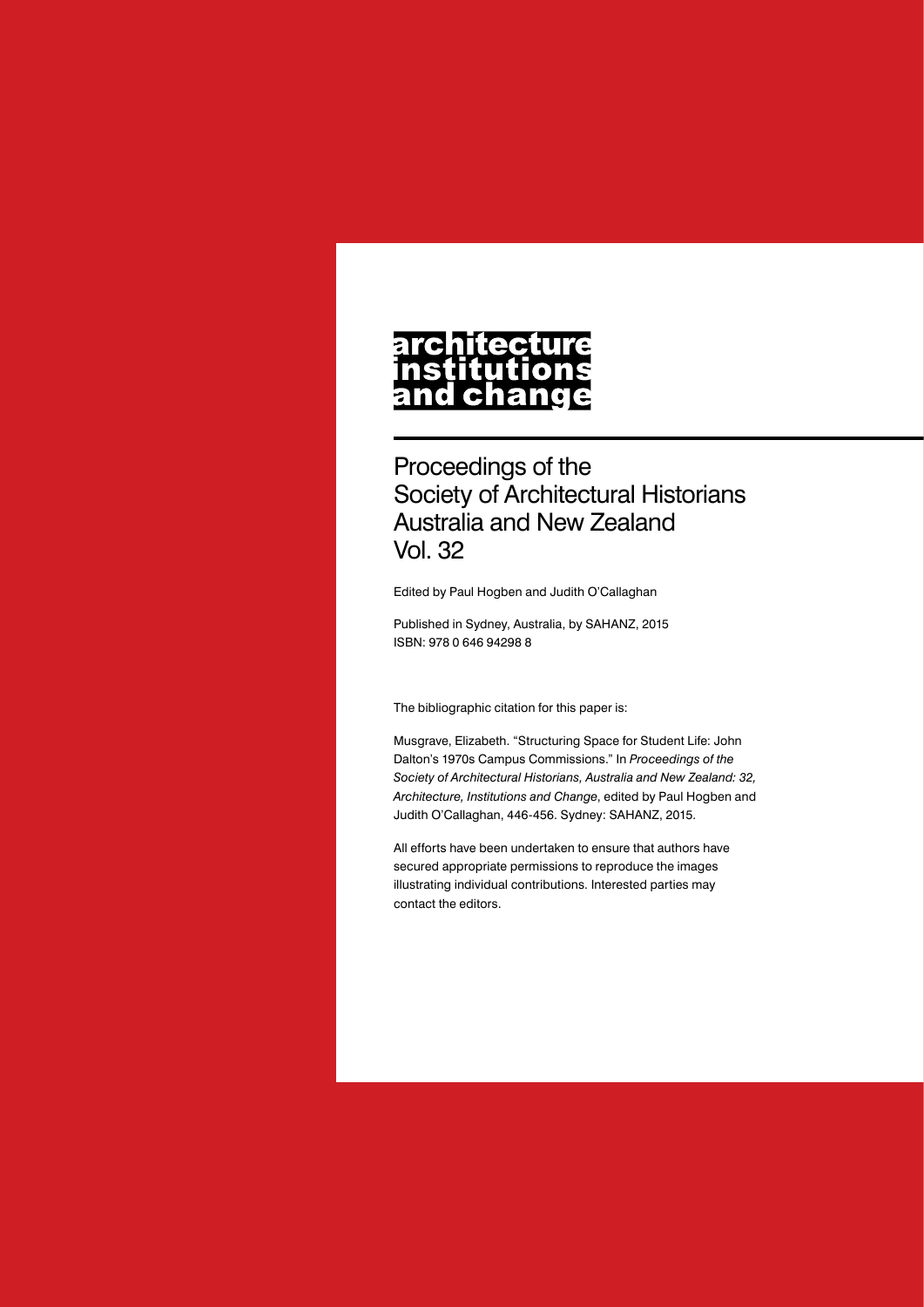## architecture nstitutions<br>nstitutions<br>and change

Proceedings of the Society of Architectural Historians Australia and New Zealand Vol. 32

Edited by Paul Hogben and Judith O'Callaghan

Published in Sydney, Australia, by SAHANZ, 2015 ISBN: 978 0 646 94298 8

The bibliographic citation for this paper is:

Musgrave, Elizabeth. "Structuring Space for Student Life: John Dalton's 1970s Campus Commissions." In *Proceedings of the Society of Architectural Historians, Australia and New Zealand: 32, Architecture, Institutions and Change*, edited by Paul Hogben and Judith O'Callaghan, 446-456. Sydney: SAHANZ, 2015.

All efforts have been undertaken to ensure that authors have secured appropriate permissions to reproduce the images illustrating individual contributions. Interested parties may contact the editors.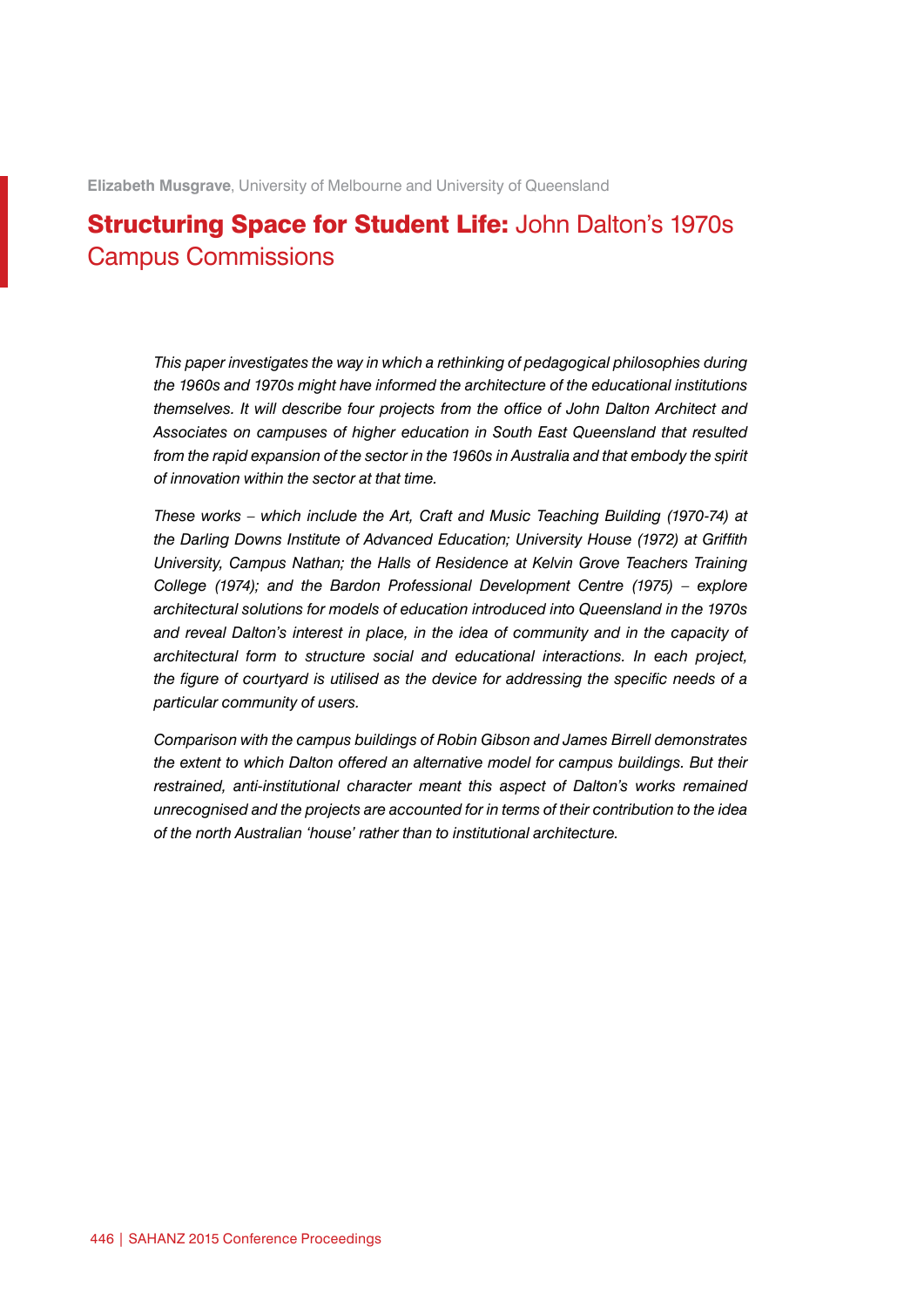**Elizabeth Musgrave**, University of Melbourne and University of Queensland

## Structuring Space for Student Life: John Dalton's 1970s Campus Commissions

*This paper investigates the way in which a rethinking of pedagogical philosophies during the 1960s and 1970s might have informed the architecture of the educational institutions themselves. It will describe four projects from the office of John Dalton Architect and Associates on campuses of higher education in South East Queensland that resulted*  from the rapid expansion of the sector in the 1960s in Australia and that embody the spirit *of innovation within the sector at that time.*

*These works – which include the Art, Craft and Music Teaching Building (1970-74) at the Darling Downs Institute of Advanced Education; University House (1972) at Griffith University, Campus Nathan; the Halls of Residence at Kelvin Grove Teachers Training College (1974); and the Bardon Professional Development Centre (1975) – explore architectural solutions for models of education introduced into Queensland in the 1970s and reveal Dalton's interest in place, in the idea of community and in the capacity of architectural form to structure social and educational interactions. In each project, the figure of courtyard is utilised as the device for addressing the specific needs of a particular community of users.*

*Comparison with the campus buildings of Robin Gibson and James Birrell demonstrates the extent to which Dalton offered an alternative model for campus buildings. But their restrained, anti-institutional character meant this aspect of Dalton's works remained unrecognised and the projects are accounted for in terms of their contribution to the idea of the north Australian 'house' rather than to institutional architecture.*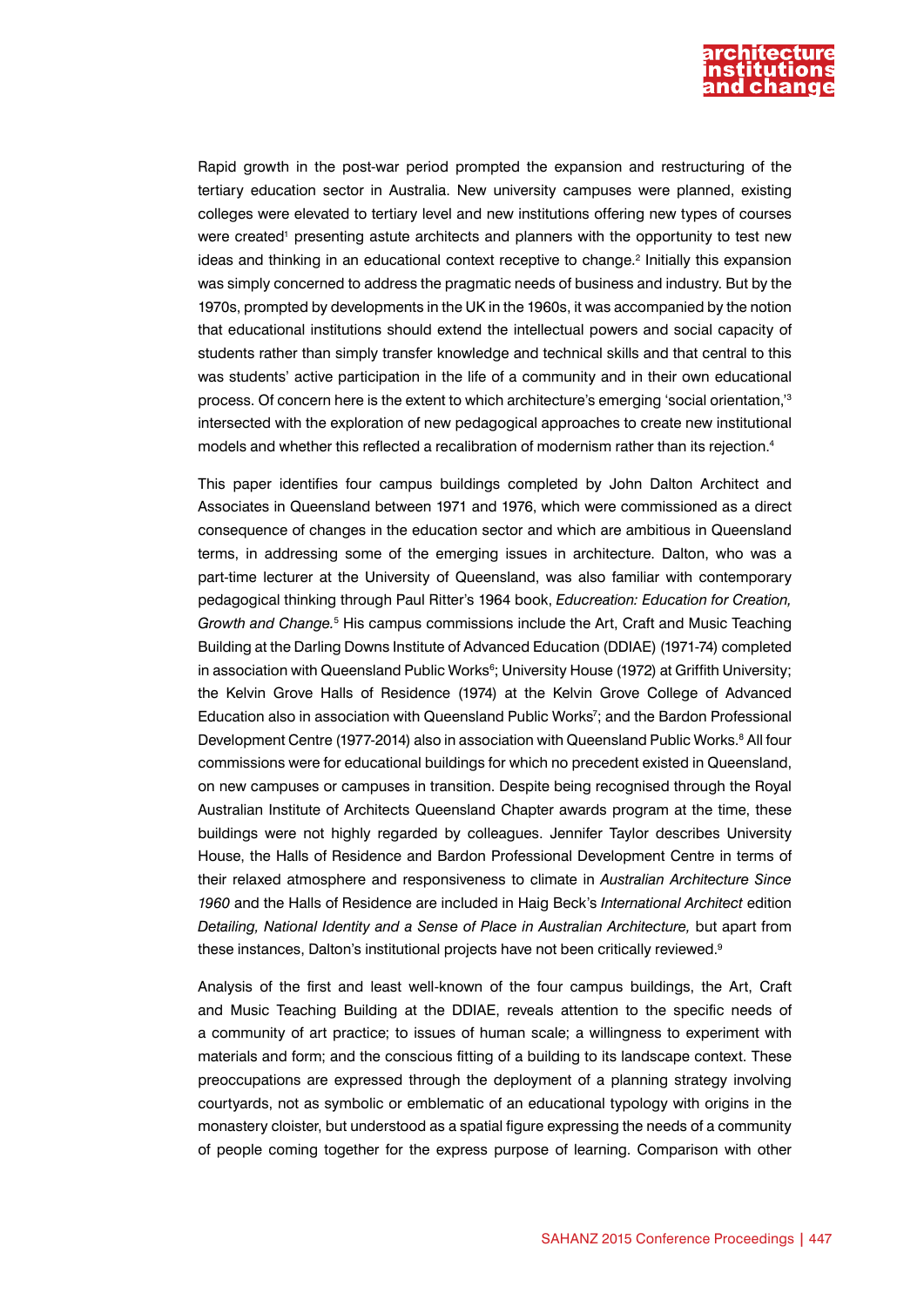

Rapid growth in the post-war period prompted the expansion and restructuring of the tertiary education sector in Australia. New university campuses were planned, existing colleges were elevated to tertiary level and new institutions offering new types of courses were created<sup>1</sup> presenting astute architects and planners with the opportunity to test new ideas and thinking in an educational context receptive to change.<sup>2</sup> Initially this expansion was simply concerned to address the pragmatic needs of business and industry. But by the 1970s, prompted by developments in the UK in the 1960s, it was accompanied by the notion that educational institutions should extend the intellectual powers and social capacity of students rather than simply transfer knowledge and technical skills and that central to this was students' active participation in the life of a community and in their own educational process. Of concern here is the extent to which architecture's emerging 'social orientation,'3 intersected with the exploration of new pedagogical approaches to create new institutional models and whether this reflected a recalibration of modernism rather than its rejection.4

This paper identifies four campus buildings completed by John Dalton Architect and Associates in Queensland between 1971 and 1976, which were commissioned as a direct consequence of changes in the education sector and which are ambitious in Queensland terms, in addressing some of the emerging issues in architecture. Dalton, who was a part-time lecturer at the University of Queensland, was also familiar with contemporary pedagogical thinking through Paul Ritter's 1964 book, *Educreation: Education for Creation, Growth and Change.*<sup>5</sup> His campus commissions include the Art, Craft and Music Teaching Building at the Darling Downs Institute of Advanced Education (DDIAE) (1971-74) completed in association with Queensland Public Works<sup>6</sup>; University House (1972) at Griffith University; the Kelvin Grove Halls of Residence (1974) at the Kelvin Grove College of Advanced Education also in association with Queensland Public Works<sup>7</sup>; and the Bardon Professional Development Centre (1977-2014) also in association with Queensland Public Works.<sup>8</sup> All four commissions were for educational buildings for which no precedent existed in Queensland, on new campuses or campuses in transition. Despite being recognised through the Royal Australian Institute of Architects Queensland Chapter awards program at the time, these buildings were not highly regarded by colleagues. Jennifer Taylor describes University House, the Halls of Residence and Bardon Professional Development Centre in terms of their relaxed atmosphere and responsiveness to climate in *Australian Architecture Since 1960* and the Halls of Residence are included in Haig Beck's *International Architect* edition *Detailing, National Identity and a Sense of Place in Australian Architecture,* but apart from these instances, Dalton's institutional projects have not been critically reviewed.9

Analysis of the first and least well-known of the four campus buildings, the Art, Craft and Music Teaching Building at the DDIAE, reveals attention to the specific needs of a community of art practice; to issues of human scale; a willingness to experiment with materials and form; and the conscious fitting of a building to its landscape context. These preoccupations are expressed through the deployment of a planning strategy involving courtyards, not as symbolic or emblematic of an educational typology with origins in the monastery cloister, but understood as a spatial figure expressing the needs of a community of people coming together for the express purpose of learning. Comparison with other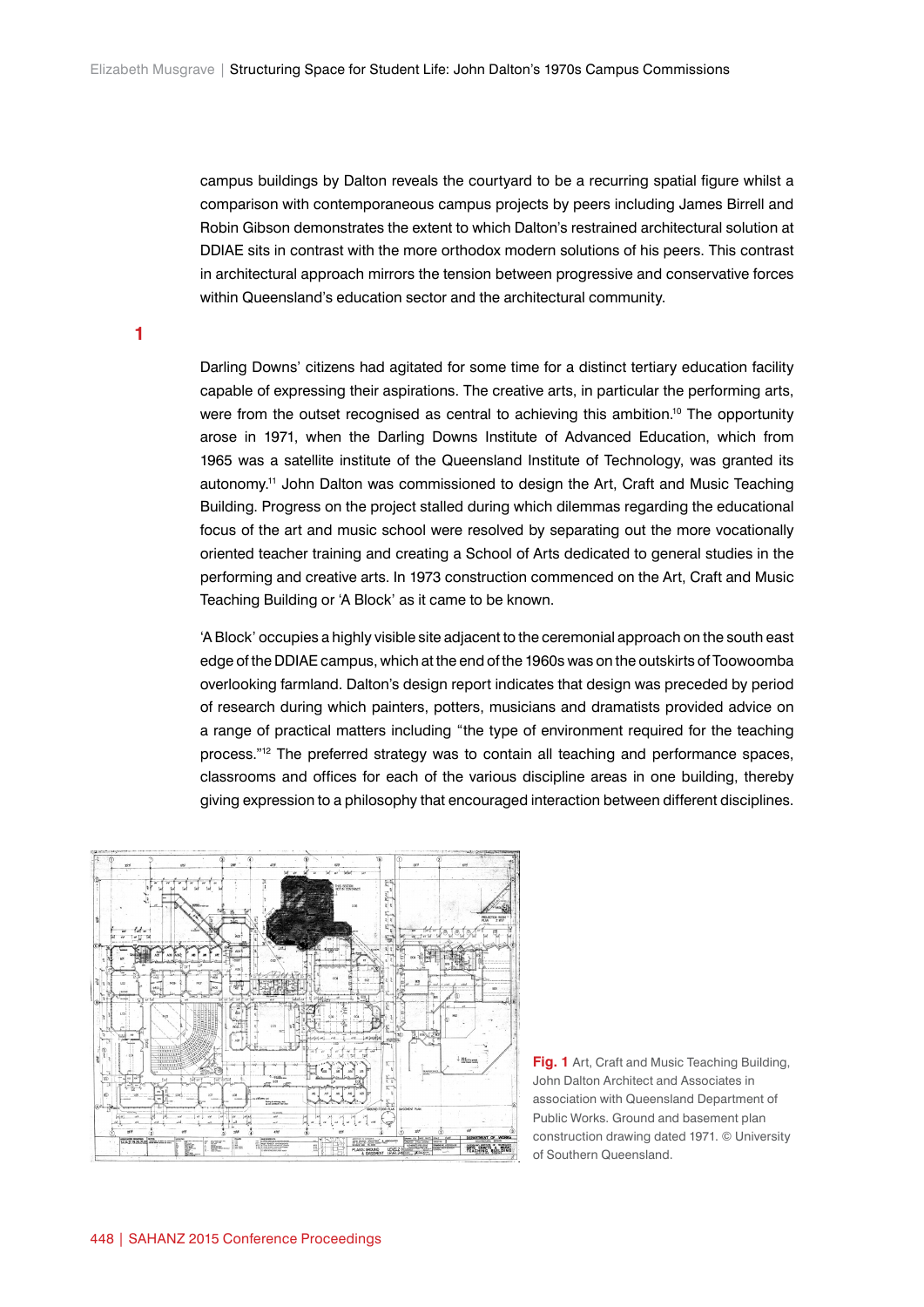campus buildings by Dalton reveals the courtyard to be a recurring spatial figure whilst a comparison with contemporaneous campus projects by peers including James Birrell and Robin Gibson demonstrates the extent to which Dalton's restrained architectural solution at DDIAE sits in contrast with the more orthodox modern solutions of his peers. This contrast in architectural approach mirrors the tension between progressive and conservative forces within Queensland's education sector and the architectural community.

**1**

Darling Downs' citizens had agitated for some time for a distinct tertiary education facility capable of expressing their aspirations. The creative arts, in particular the performing arts, were from the outset recognised as central to achieving this ambition.<sup>10</sup> The opportunity arose in 1971, when the Darling Downs Institute of Advanced Education, which from 1965 was a satellite institute of the Queensland Institute of Technology, was granted its autonomy.11 John Dalton was commissioned to design the Art, Craft and Music Teaching Building. Progress on the project stalled during which dilemmas regarding the educational focus of the art and music school were resolved by separating out the more vocationally oriented teacher training and creating a School of Arts dedicated to general studies in the performing and creative arts. In 1973 construction commenced on the Art, Craft and Music Teaching Building or 'A Block' as it came to be known.

'A Block' occupies a highly visible site adjacent to the ceremonial approach on the south east edge of the DDIAE campus, which at the end of the 1960s was on the outskirts of Toowoomba overlooking farmland. Dalton's design report indicates that design was preceded by period of research during which painters, potters, musicians and dramatists provided advice on a range of practical matters including "the type of environment required for the teaching process."<sup>12</sup> The preferred strategy was to contain all teaching and performance spaces, classrooms and offices for each of the various discipline areas in one building, thereby giving expression to a philosophy that encouraged interaction between different disciplines.



**Fig. 1** Art, Craft and Music Teaching Building, John Dalton Architect and Associates in association with Queensland Department of Public Works. Ground and basement plan construction drawing dated 1971. © University of Southern Queensland.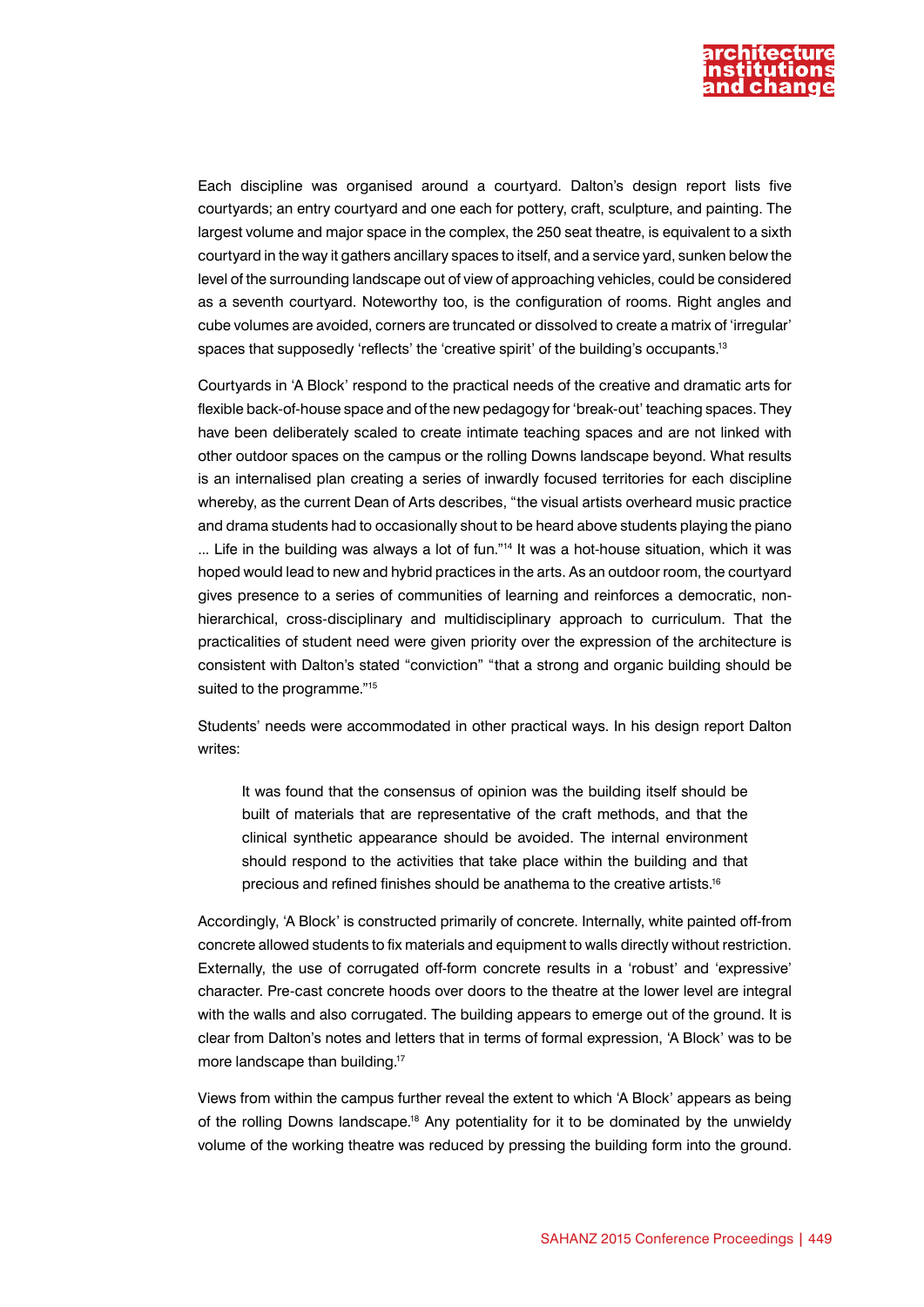

Each discipline was organised around a courtyard. Dalton's design report lists five courtyards; an entry courtyard and one each for pottery, craft, sculpture, and painting. The largest volume and major space in the complex, the 250 seat theatre, is equivalent to a sixth courtyard in the way it gathers ancillary spaces to itself, and a service yard, sunken below the level of the surrounding landscape out of view of approaching vehicles, could be considered as a seventh courtyard. Noteworthy too, is the configuration of rooms. Right angles and cube volumes are avoided, corners are truncated or dissolved to create a matrix of 'irregular' spaces that supposedly 'reflects' the 'creative spirit' of the building's occupants.<sup>13</sup>

Courtyards in 'A Block' respond to the practical needs of the creative and dramatic arts for flexible back-of-house space and of the new pedagogy for 'break-out' teaching spaces. They have been deliberately scaled to create intimate teaching spaces and are not linked with other outdoor spaces on the campus or the rolling Downs landscape beyond. What results is an internalised plan creating a series of inwardly focused territories for each discipline whereby, as the current Dean of Arts describes, "the visual artists overheard music practice and drama students had to occasionally shout to be heard above students playing the piano ... Life in the building was always a lot of fun."14 It was a hot-house situation, which it was hoped would lead to new and hybrid practices in the arts. As an outdoor room, the courtyard gives presence to a series of communities of learning and reinforces a democratic, nonhierarchical, cross-disciplinary and multidisciplinary approach to curriculum. That the practicalities of student need were given priority over the expression of the architecture is consistent with Dalton's stated "conviction" "that a strong and organic building should be suited to the programme."<sup>15</sup>

Students' needs were accommodated in other practical ways. In his design report Dalton writes:

It was found that the consensus of opinion was the building itself should be built of materials that are representative of the craft methods, and that the clinical synthetic appearance should be avoided. The internal environment should respond to the activities that take place within the building and that precious and refined finishes should be anathema to the creative artists.16

Accordingly, 'A Block' is constructed primarily of concrete. Internally, white painted off-from concrete allowed students to fix materials and equipment to walls directly without restriction. Externally, the use of corrugated off-form concrete results in a 'robust' and 'expressive' character. Pre-cast concrete hoods over doors to the theatre at the lower level are integral with the walls and also corrugated. The building appears to emerge out of the ground. It is clear from Dalton's notes and letters that in terms of formal expression, 'A Block' was to be more landscape than building.<sup>17</sup>

Views from within the campus further reveal the extent to which 'A Block' appears as being of the rolling Downs landscape.18 Any potentiality for it to be dominated by the unwieldy volume of the working theatre was reduced by pressing the building form into the ground.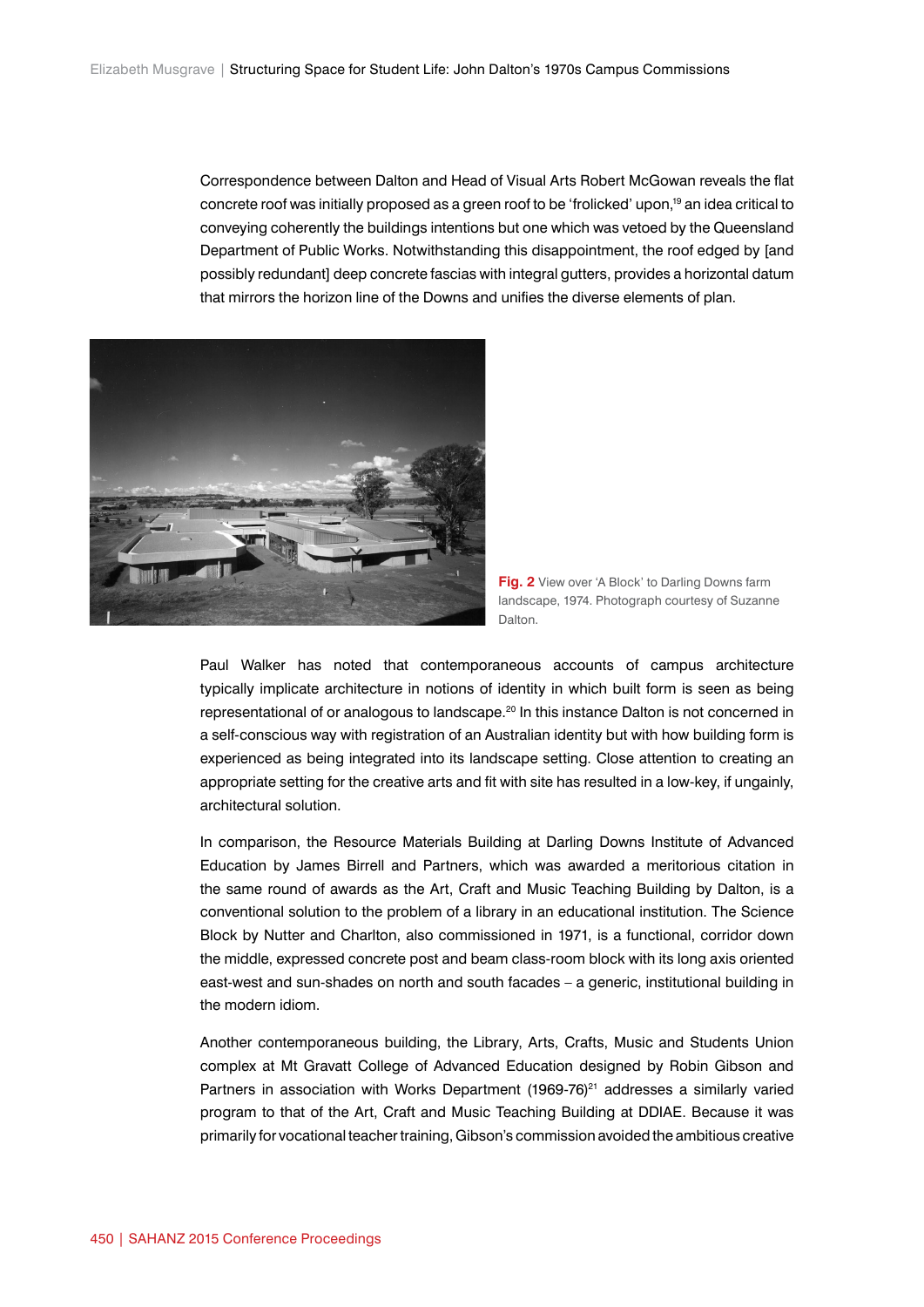Correspondence between Dalton and Head of Visual Arts Robert McGowan reveals the flat concrete roof was initially proposed as a green roof to be 'frolicked' upon,19 an idea critical to conveying coherently the buildings intentions but one which was vetoed by the Queensland Department of Public Works. Notwithstanding this disappointment, the roof edged by [and possibly redundant] deep concrete fascias with integral gutters, provides a horizontal datum that mirrors the horizon line of the Downs and unifies the diverse elements of plan.





Paul Walker has noted that contemporaneous accounts of campus architecture typically implicate architecture in notions of identity in which built form is seen as being representational of or analogous to landscape.<sup>20</sup> In this instance Dalton is not concerned in a self-conscious way with registration of an Australian identity but with how building form is experienced as being integrated into its landscape setting. Close attention to creating an appropriate setting for the creative arts and fit with site has resulted in a low-key, if ungainly, architectural solution.

In comparison, the Resource Materials Building at Darling Downs Institute of Advanced Education by James Birrell and Partners, which was awarded a meritorious citation in the same round of awards as the Art, Craft and Music Teaching Building by Dalton, is a conventional solution to the problem of a library in an educational institution. The Science Block by Nutter and Charlton, also commissioned in 1971, is a functional, corridor down the middle, expressed concrete post and beam class-room block with its long axis oriented east-west and sun-shades on north and south facades – a generic, institutional building in the modern idiom.

Another contemporaneous building, the Library, Arts, Crafts, Music and Students Union complex at Mt Gravatt College of Advanced Education designed by Robin Gibson and Partners in association with Works Department  $(1969-76)^{21}$  addresses a similarly varied program to that of the Art, Craft and Music Teaching Building at DDIAE. Because it was primarily for vocational teacher training, Gibson's commission avoided the ambitious creative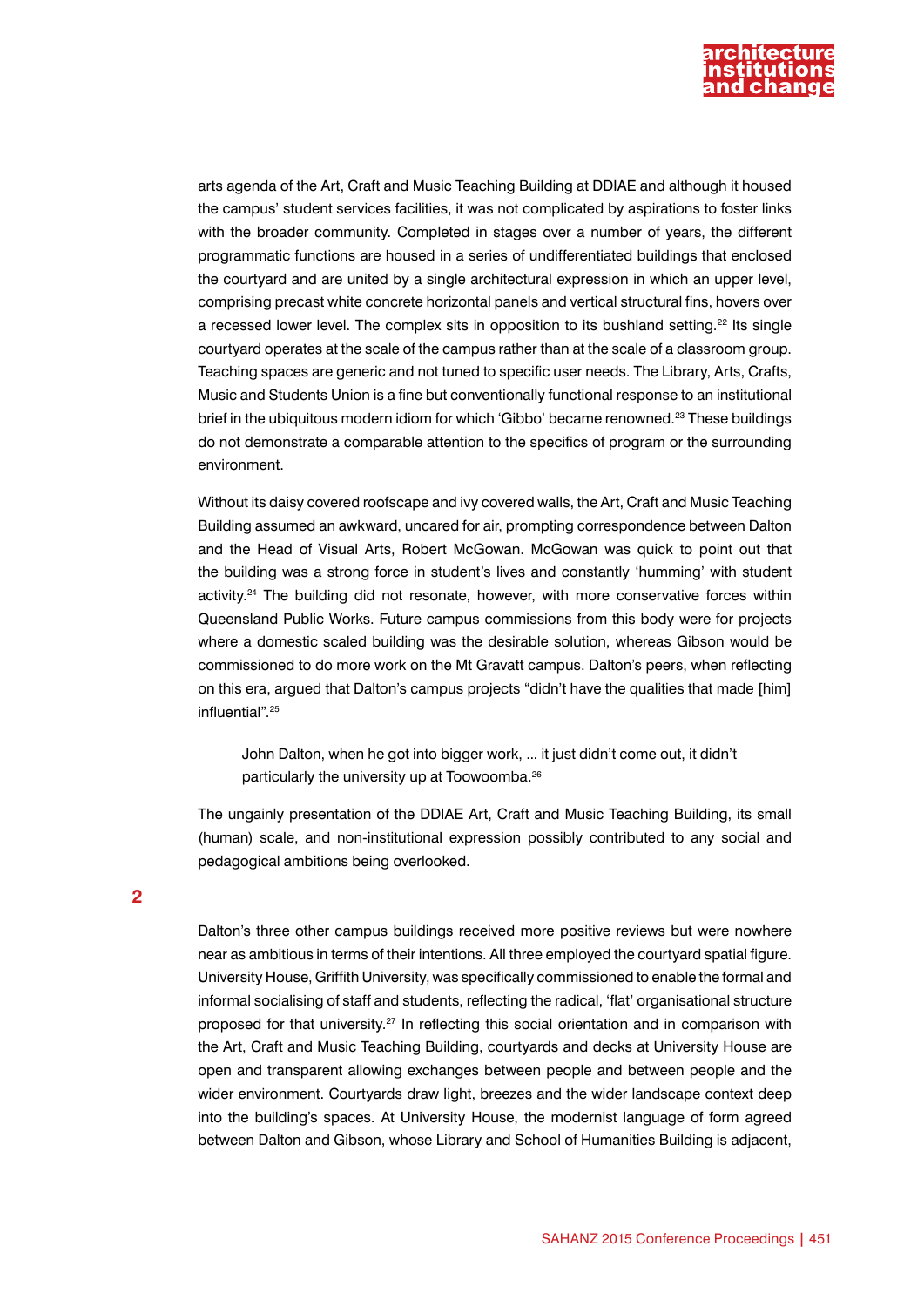

arts agenda of the Art, Craft and Music Teaching Building at DDIAE and although it housed the campus' student services facilities, it was not complicated by aspirations to foster links with the broader community. Completed in stages over a number of years, the different programmatic functions are housed in a series of undifferentiated buildings that enclosed the courtyard and are united by a single architectural expression in which an upper level, comprising precast white concrete horizontal panels and vertical structural fins, hovers over a recessed lower level. The complex sits in opposition to its bushland setting.<sup>22</sup> Its single courtyard operates at the scale of the campus rather than at the scale of a classroom group. Teaching spaces are generic and not tuned to specific user needs. The Library, Arts, Crafts, Music and Students Union is a fine but conventionally functional response to an institutional brief in the ubiquitous modern idiom for which 'Gibbo' became renowned.<sup>23</sup> These buildings do not demonstrate a comparable attention to the specifics of program or the surrounding environment.

Without its daisy covered roofscape and ivy covered walls, the Art, Craft and Music Teaching Building assumed an awkward, uncared for air, prompting correspondence between Dalton and the Head of Visual Arts, Robert McGowan. McGowan was quick to point out that the building was a strong force in student's lives and constantly 'humming' with student activity.<sup>24</sup> The building did not resonate, however, with more conservative forces within Queensland Public Works. Future campus commissions from this body were for projects where a domestic scaled building was the desirable solution, whereas Gibson would be commissioned to do more work on the Mt Gravatt campus. Dalton's peers, when reflecting on this era, argued that Dalton's campus projects "didn't have the qualities that made [him] influential".25

John Dalton, when he got into bigger work, ... it just didn't come out, it didn't – particularly the university up at Toowoomba.26

The ungainly presentation of the DDIAE Art, Craft and Music Teaching Building, its small (human) scale, and non-institutional expression possibly contributed to any social and pedagogical ambitions being overlooked.

**2**

Dalton's three other campus buildings received more positive reviews but were nowhere near as ambitious in terms of their intentions. All three employed the courtyard spatial figure. University House, Griffith University, was specifically commissioned to enable the formal and informal socialising of staff and students, reflecting the radical, 'flat' organisational structure proposed for that university.<sup>27</sup> In reflecting this social orientation and in comparison with the Art, Craft and Music Teaching Building, courtyards and decks at University House are open and transparent allowing exchanges between people and between people and the wider environment. Courtyards draw light, breezes and the wider landscape context deep into the building's spaces. At University House, the modernist language of form agreed between Dalton and Gibson, whose Library and School of Humanities Building is adjacent,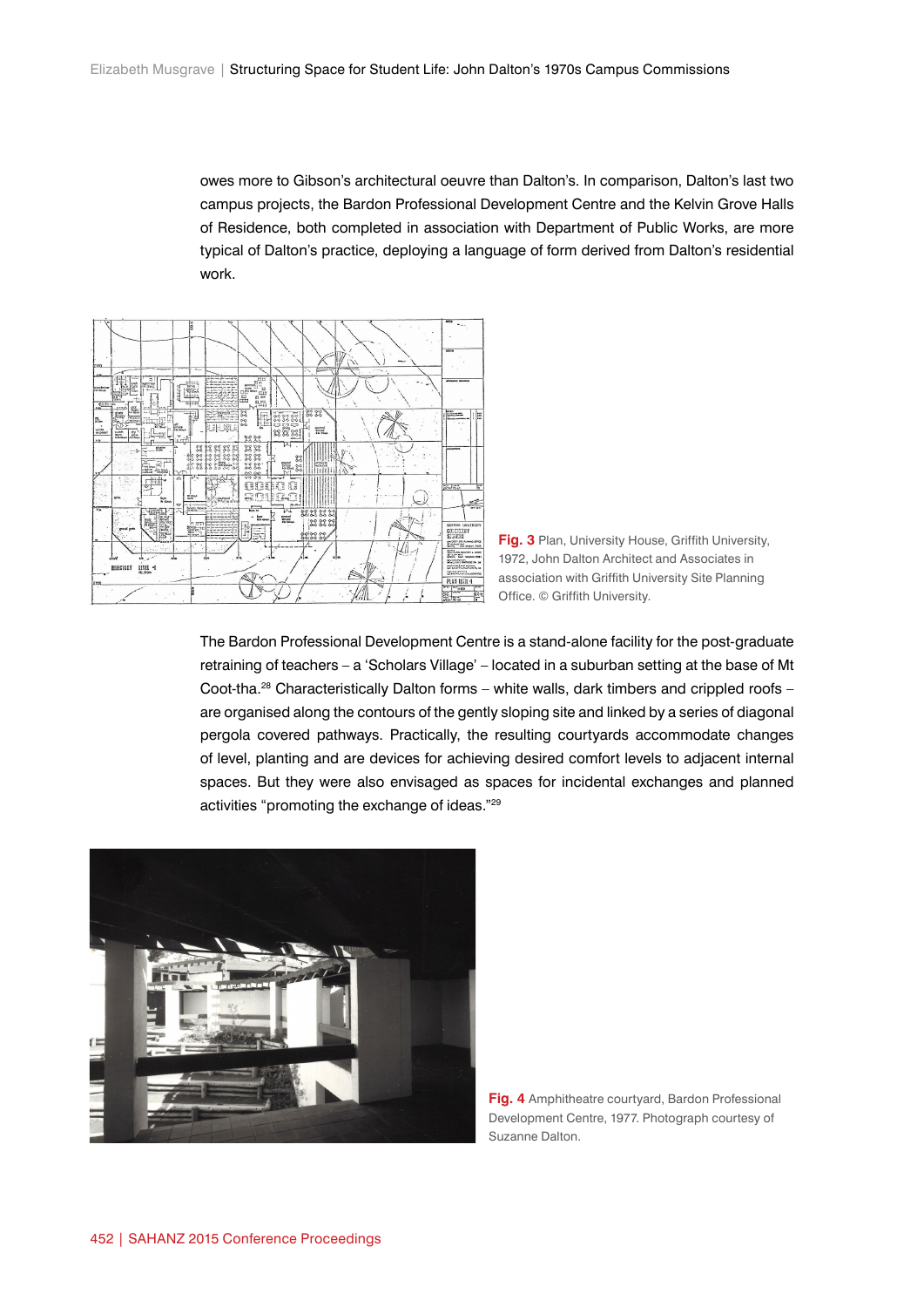owes more to Gibson's architectural oeuvre than Dalton's. In comparison, Dalton's last two campus projects, the Bardon Professional Development Centre and the Kelvin Grove Halls of Residence, both completed in association with Department of Public Works, are more typical of Dalton's practice, deploying a language of form derived from Dalton's residential work.





The Bardon Professional Development Centre is a stand-alone facility for the post-graduate retraining of teachers – a 'Scholars Village' – located in a suburban setting at the base of Mt Coot-tha.<sup>28</sup> Characteristically Dalton forms – white walls, dark timbers and crippled roofs – are organised along the contours of the gently sloping site and linked by a series of diagonal pergola covered pathways. Practically, the resulting courtyards accommodate changes of level, planting and are devices for achieving desired comfort levels to adjacent internal spaces. But they were also envisaged as spaces for incidental exchanges and planned activities "promoting the exchange of ideas."29



**Fig. 4** Amphitheatre courtyard, Bardon Professional Development Centre, 1977. Photograph courtesy of Suzanne Dalton.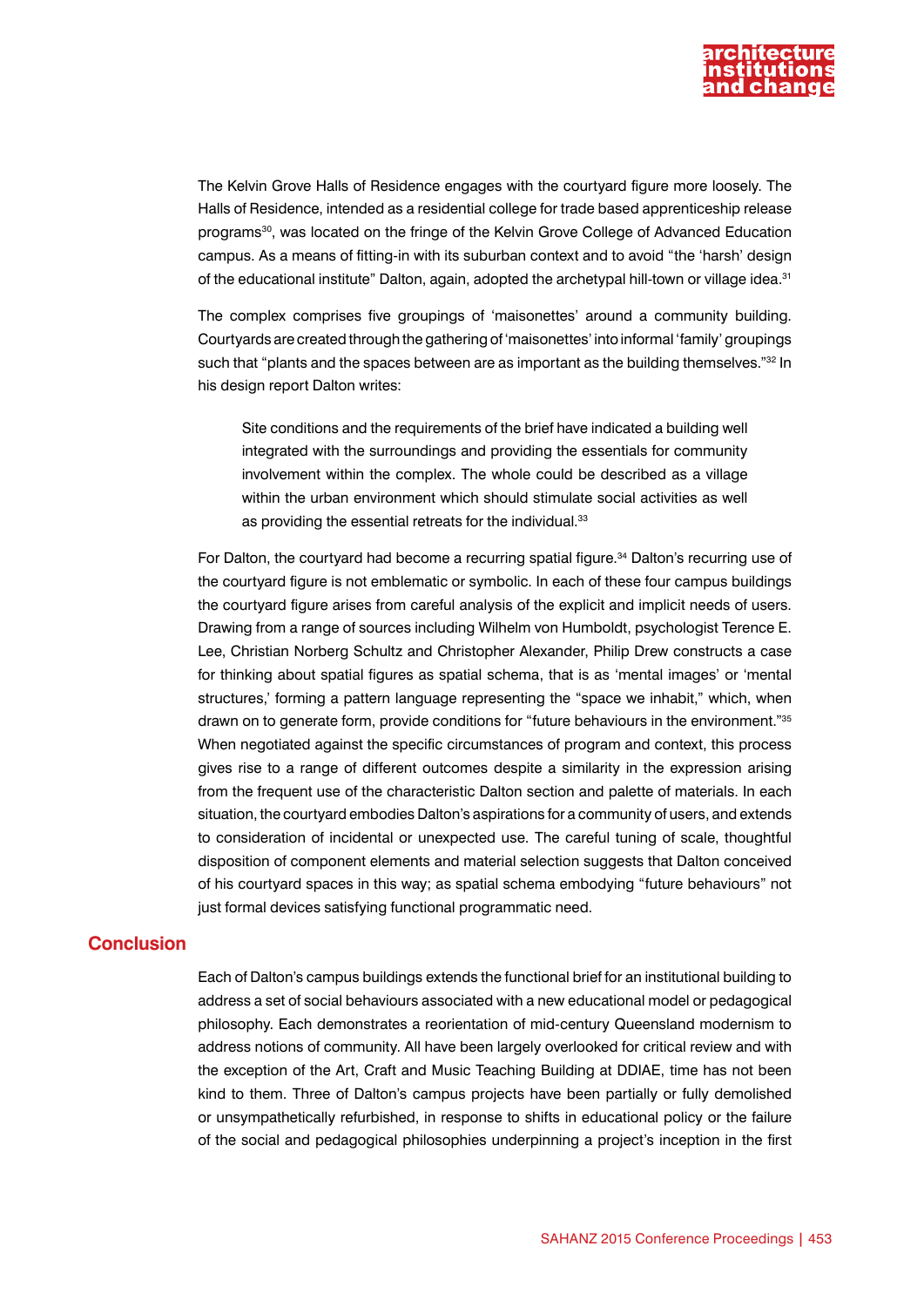

The Kelvin Grove Halls of Residence engages with the courtyard figure more loosely. The Halls of Residence, intended as a residential college for trade based apprenticeship release programs<sup>30</sup>, was located on the fringe of the Kelvin Grove College of Advanced Education campus. As a means of fitting-in with its suburban context and to avoid "the 'harsh' design of the educational institute" Dalton, again, adopted the archetypal hill-town or village idea.<sup>31</sup>

The complex comprises five groupings of 'maisonettes' around a community building. Courtyards are created through the gathering of 'maisonettes' into informal 'family' groupings such that "plants and the spaces between are as important as the building themselves."<sup>32</sup> In his design report Dalton writes:

Site conditions and the requirements of the brief have indicated a building well integrated with the surroundings and providing the essentials for community involvement within the complex. The whole could be described as a village within the urban environment which should stimulate social activities as well as providing the essential retreats for the individual.<sup>33</sup>

For Dalton, the courtyard had become a recurring spatial figure.<sup>34</sup> Dalton's recurring use of the courtyard figure is not emblematic or symbolic. In each of these four campus buildings the courtyard figure arises from careful analysis of the explicit and implicit needs of users. Drawing from a range of sources including Wilhelm von Humboldt, psychologist Terence E. Lee, Christian Norberg Schultz and Christopher Alexander, Philip Drew constructs a case for thinking about spatial figures as spatial schema, that is as 'mental images' or 'mental structures,' forming a pattern language representing the "space we inhabit," which, when drawn on to generate form, provide conditions for "future behaviours in the environment."<sup>35</sup> When negotiated against the specific circumstances of program and context, this process gives rise to a range of different outcomes despite a similarity in the expression arising from the frequent use of the characteristic Dalton section and palette of materials. In each situation, the courtyard embodies Dalton's aspirations for a community of users, and extends to consideration of incidental or unexpected use. The careful tuning of scale, thoughtful disposition of component elements and material selection suggests that Dalton conceived of his courtyard spaces in this way; as spatial schema embodying "future behaviours" not just formal devices satisfying functional programmatic need.

## **Conclusion**

Each of Dalton's campus buildings extends the functional brief for an institutional building to address a set of social behaviours associated with a new educational model or pedagogical philosophy. Each demonstrates a reorientation of mid-century Queensland modernism to address notions of community. All have been largely overlooked for critical review and with the exception of the Art, Craft and Music Teaching Building at DDIAE, time has not been kind to them. Three of Dalton's campus projects have been partially or fully demolished or unsympathetically refurbished, in response to shifts in educational policy or the failure of the social and pedagogical philosophies underpinning a project's inception in the first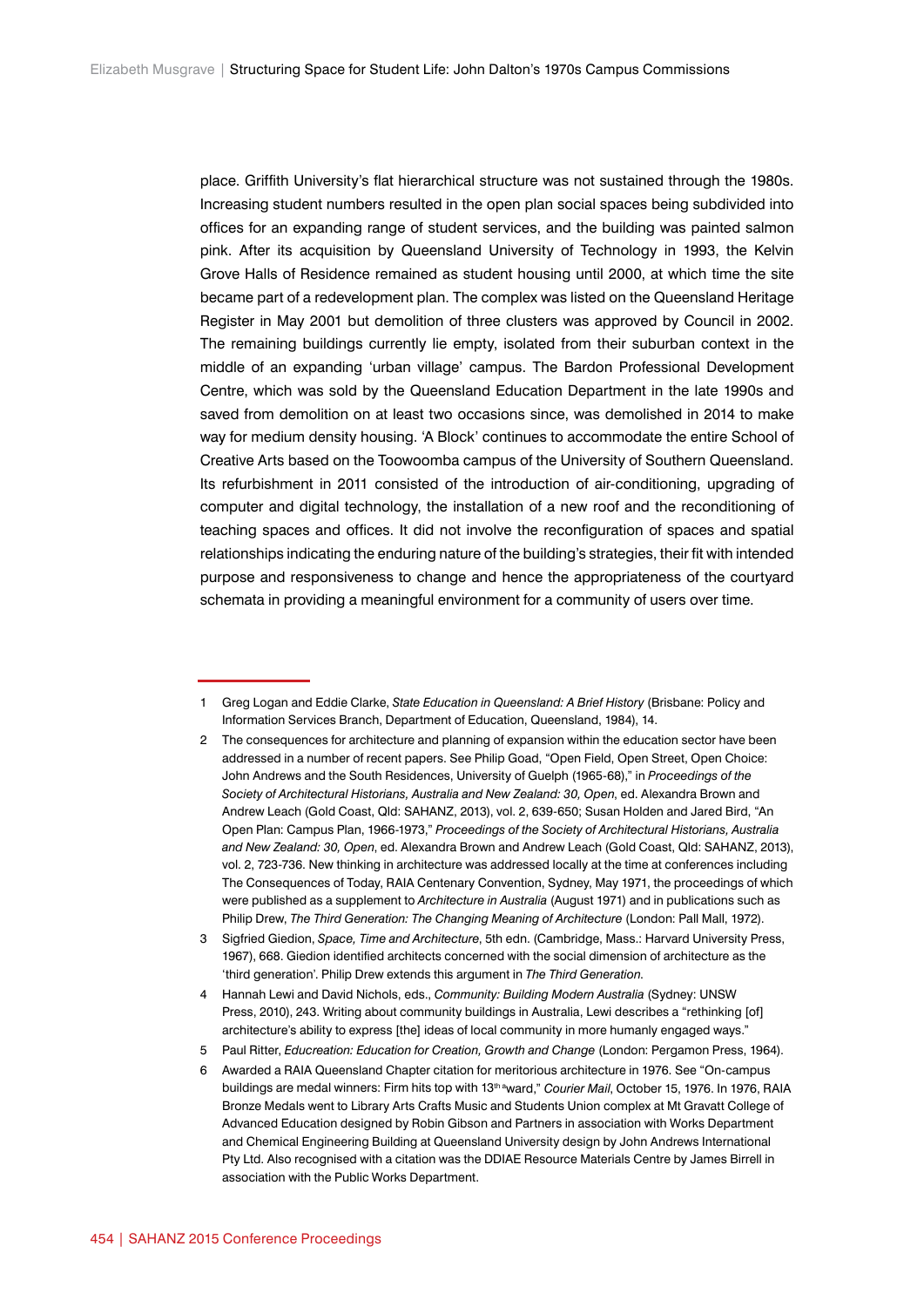place. Griffith University's flat hierarchical structure was not sustained through the 1980s. Increasing student numbers resulted in the open plan social spaces being subdivided into offices for an expanding range of student services, and the building was painted salmon pink. After its acquisition by Queensland University of Technology in 1993, the Kelvin Grove Halls of Residence remained as student housing until 2000, at which time the site became part of a redevelopment plan. The complex was listed on the Queensland Heritage Register in May 2001 but demolition of three clusters was approved by Council in 2002. The remaining buildings currently lie empty, isolated from their suburban context in the middle of an expanding 'urban village' campus. The Bardon Professional Development Centre, which was sold by the Queensland Education Department in the late 1990s and saved from demolition on at least two occasions since, was demolished in 2014 to make way for medium density housing. 'A Block' continues to accommodate the entire School of Creative Arts based on the Toowoomba campus of the University of Southern Queensland. Its refurbishment in 2011 consisted of the introduction of air-conditioning, upgrading of computer and digital technology, the installation of a new roof and the reconditioning of teaching spaces and offices. It did not involve the reconfiguration of spaces and spatial relationships indicating the enduring nature of the building's strategies, their fit with intended purpose and responsiveness to change and hence the appropriateness of the courtyard schemata in providing a meaningful environment for a community of users over time.

<sup>1</sup> Greg Logan and Eddie Clarke, *State Education in Queensland: A Brief History* (Brisbane: Policy and Information Services Branch, Department of Education, Queensland, 1984), 14.

<sup>2</sup> The consequences for architecture and planning of expansion within the education sector have been addressed in a number of recent papers. See Philip Goad, "Open Field, Open Street, Open Choice: John Andrews and the South Residences, University of Guelph (1965-68)," in *Proceedings of the Society of Architectural Historians, Australia and New Zealand: 30, Open*, ed. Alexandra Brown and Andrew Leach (Gold Coast, Qld: SAHANZ, 2013), vol. 2, 639-650; Susan Holden and Jared Bird, "An Open Plan: Campus Plan, 1966-1973," *Proceedings of the Society of Architectural Historians, Australia and New Zealand: 30, Open*, ed. Alexandra Brown and Andrew Leach (Gold Coast, Qld: SAHANZ, 2013), vol. 2, 723-736. New thinking in architecture was addressed locally at the time at conferences including The Consequences of Today, RAIA Centenary Convention, Sydney, May 1971, the proceedings of which were published as a supplement to *Architecture in Australia* (August 1971) and in publications such as Philip Drew, *The Third Generation: The Changing Meaning of Architecture* (London: Pall Mall, 1972).

<sup>3</sup> Sigfried Giedion, *Space, Time and Architecture*, 5th edn. (Cambridge, Mass.: Harvard University Press, 1967), 668. Giedion identified architects concerned with the social dimension of architecture as the 'third generation'. Philip Drew extends this argument in *The Third Generation*.

<sup>4</sup> Hannah Lewi and David Nichols, eds., *Community: Building Modern Australia* (Sydney: UNSW Press, 2010), 243. Writing about community buildings in Australia, Lewi describes a "rethinking [of] architecture's ability to express [the] ideas of local community in more humanly engaged ways."

<sup>5</sup> Paul Ritter, *Educreation: Education for Creation, Growth and Change* (London: Pergamon Press, 1964).

<sup>6</sup> Awarded a RAIA Queensland Chapter citation for meritorious architecture in 1976. See "On-campus buildings are medal winners: Firm hits top with 13<sup>th a</sup>ward," *Courier Mail*, October 15, 1976. In 1976, RAIA Bronze Medals went to Library Arts Crafts Music and Students Union complex at Mt Gravatt College of Advanced Education designed by Robin Gibson and Partners in association with Works Department and Chemical Engineering Building at Queensland University design by John Andrews International Pty Ltd. Also recognised with a citation was the DDIAE Resource Materials Centre by James Birrell in association with the Public Works Department.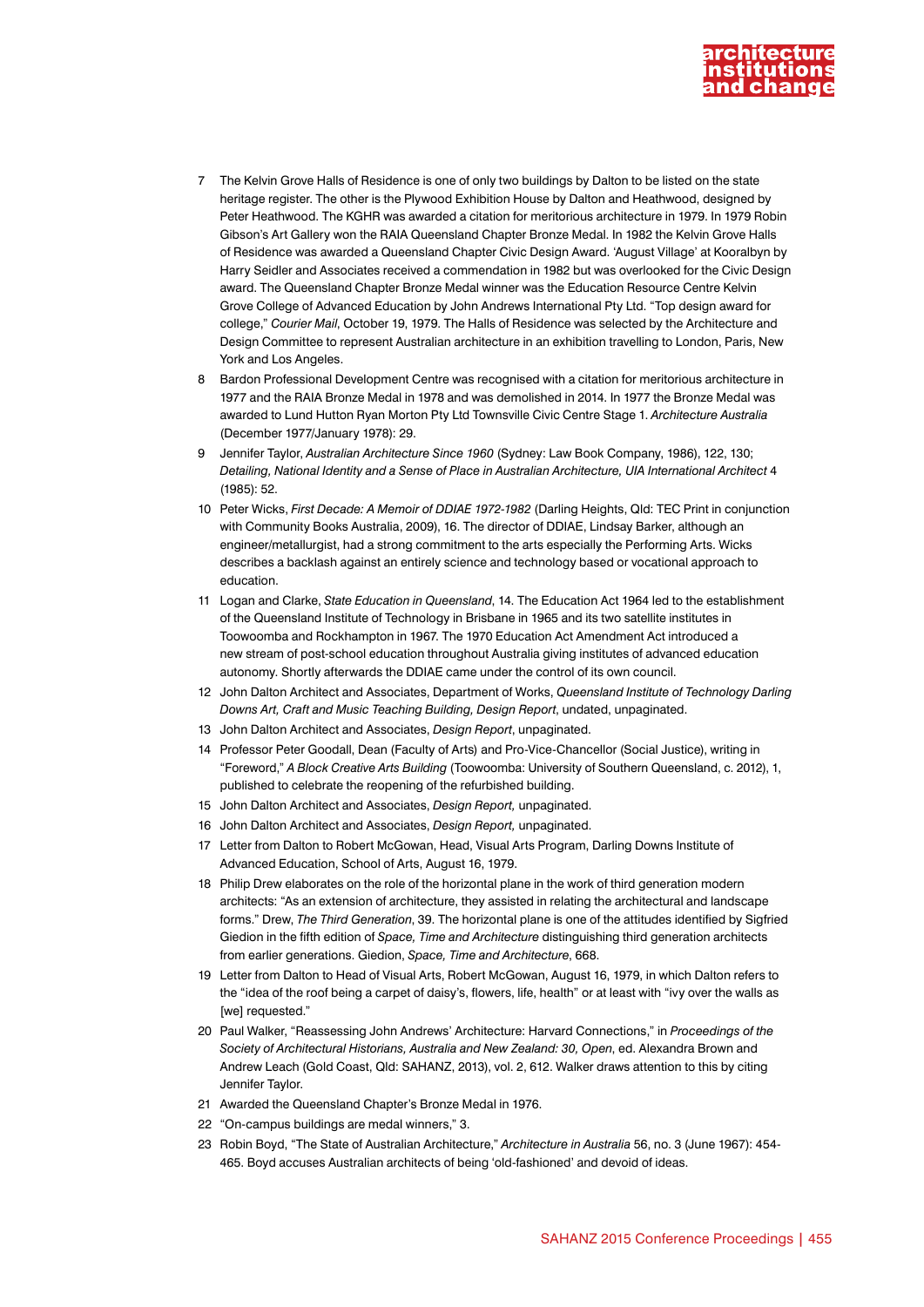

- 7 The Kelvin Grove Halls of Residence is one of only two buildings by Dalton to be listed on the state heritage register. The other is the Plywood Exhibition House by Dalton and Heathwood, designed by Peter Heathwood. The KGHR was awarded a citation for meritorious architecture in 1979. In 1979 Robin Gibson's Art Gallery won the RAIA Queensland Chapter Bronze Medal. In 1982 the Kelvin Grove Halls of Residence was awarded a Queensland Chapter Civic Design Award. 'August Village' at Kooralbyn by Harry Seidler and Associates received a commendation in 1982 but was overlooked for the Civic Design award. The Queensland Chapter Bronze Medal winner was the Education Resource Centre Kelvin Grove College of Advanced Education by John Andrews International Pty Ltd. "Top design award for college," *Courier Mail*, October 19, 1979. The Halls of Residence was selected by the Architecture and Design Committee to represent Australian architecture in an exhibition travelling to London, Paris, New York and Los Angeles.
- 8 Bardon Professional Development Centre was recognised with a citation for meritorious architecture in 1977 and the RAIA Bronze Medal in 1978 and was demolished in 2014. In 1977 the Bronze Medal was awarded to Lund Hutton Ryan Morton Pty Ltd Townsville Civic Centre Stage 1. *Architecture Australia*  (December 1977/January 1978): 29.
- 9 Jennifer Taylor, *Australian Architecture Since 1960* (Sydney: Law Book Company, 1986), 122, 130; *Detailing, National Identity and a Sense of Place in Australian Architecture, UIA International Architect* 4 (1985): 52.
- 10 Peter Wicks, *First Decade: A Memoir of DDIAE 1972-1982* (Darling Heights, Qld: TEC Print in conjunction with Community Books Australia, 2009), 16. The director of DDIAE, Lindsay Barker, although an engineer/metallurgist, had a strong commitment to the arts especially the Performing Arts. Wicks describes a backlash against an entirely science and technology based or vocational approach to education.
- 11 Logan and Clarke, *State Education in Queensland*, 14. The Education Act 1964 led to the establishment of the Queensland Institute of Technology in Brisbane in 1965 and its two satellite institutes in Toowoomba and Rockhampton in 1967. The 1970 Education Act Amendment Act introduced a new stream of post-school education throughout Australia giving institutes of advanced education autonomy. Shortly afterwards the DDIAE came under the control of its own council.
- 12 John Dalton Architect and Associates, Department of Works, *Queensland Institute of Technology Darling Downs Art, Craft and Music Teaching Building, Design Report*, undated, unpaginated.
- 13 John Dalton Architect and Associates, *Design Report*, unpaginated.
- 14 Professor Peter Goodall, Dean (Faculty of Arts) and Pro-Vice-Chancellor (Social Justice), writing in "Foreword," *A Block Creative Arts Building* (Toowoomba: University of Southern Queensland, c. 2012), 1, published to celebrate the reopening of the refurbished building.
- 15 John Dalton Architect and Associates, *Design Report,* unpaginated.
- 16 John Dalton Architect and Associates, *Design Report,* unpaginated.
- 17 Letter from Dalton to Robert McGowan, Head, Visual Arts Program, Darling Downs Institute of Advanced Education, School of Arts, August 16, 1979.
- 18 Philip Drew elaborates on the role of the horizontal plane in the work of third generation modern architects: "As an extension of architecture, they assisted in relating the architectural and landscape forms." Drew, *The Third Generation*, 39. The horizontal plane is one of the attitudes identified by Sigfried Giedion in the fifth edition of *Space, Time and Architecture* distinguishing third generation architects from earlier generations. Giedion, *Space, Time and Architecture*, 668.
- 19 Letter from Dalton to Head of Visual Arts, Robert McGowan, August 16, 1979, in which Dalton refers to the "idea of the roof being a carpet of daisy's, flowers, life, health" or at least with "ivy over the walls as [we] requested."
- 20 Paul Walker, "Reassessing John Andrews' Architecture: Harvard Connections," in *Proceedings of the Society of Architectural Historians, Australia and New Zealand: 30, Open*, ed. Alexandra Brown and Andrew Leach (Gold Coast, Qld: SAHANZ, 2013), vol. 2, 612. Walker draws attention to this by citing Jennifer Taylor.
- 21 Awarded the Queensland Chapter's Bronze Medal in 1976.
- 22 "On-campus buildings are medal winners," 3.
- 23 Robin Boyd, "The State of Australian Architecture," *Architecture in Australia* 56, no. 3 (June 1967): 454- 465. Boyd accuses Australian architects of being 'old-fashioned' and devoid of ideas.